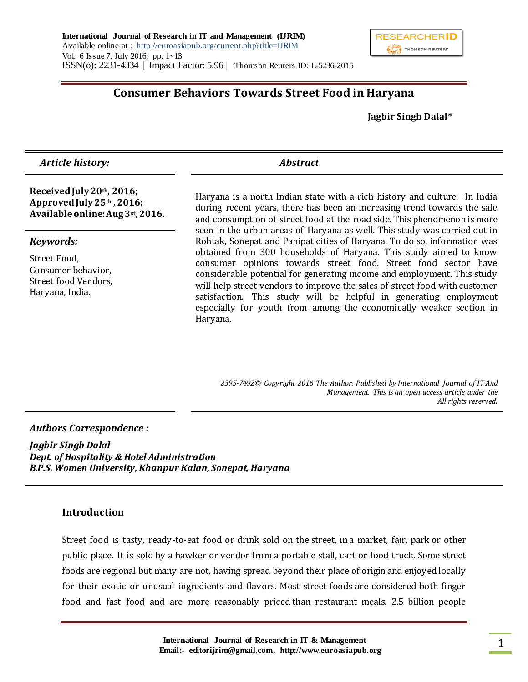

# **Consumer Behaviors Towards Street Food in Haryana**

 **Jagbir Singh Dalal\***

 *Article history:**Abstract* 

#### **Received July 20th, 2016; Approved July 25th , 2016; Available online: Aug 3st, 2016.**

#### *Keywords:*

Street Food, Consumer behavior, Street food Vendors, Haryana, India.

Haryana is a north Indian state with a rich history and culture. In India during recent years, there has been an increasing trend towards the sale and consumption of street food at the road side. This phenomenon is more seen in the urban areas of Haryana as well. This study was carried out in Rohtak, Sonepat and Panipat cities of Haryana. To do so, information was obtained from 300 households of Haryana. This study aimed to know consumer opinions towards street food. Street food sector have considerable potential for generating income and employment. This study will help street vendors to improve the sales of street food with customer satisfaction. This study will be helpful in generating employment especially for youth from among the economically weaker section in Haryana.

*2395-7492© Copyright 2016 The Author. Published by International Journal of IT And Management. This is an open access article under the All rights reserved.*

#### *Authors Correspondence :*

*Jagbir Singh Dalal Dept. of Hospitality & Hotel Administration B.P.S. Women University, Khanpur Kalan, Sonepat, Haryana*

#### **Introduction**

Street food is tasty, ready-to-eat food or drink sold on the street, in a market, fair, park or other public place. It is sold by a hawker or vendor from a portable stall, cart or food truck. Some street foods are regional but many are not, having spread beyond their place of origin and enjoyed locally for their exotic or unusual ingredients and flavors. Most street foods are considered both finger food and fast food and are more reasonably priced than restaurant meals. 2.5 billion people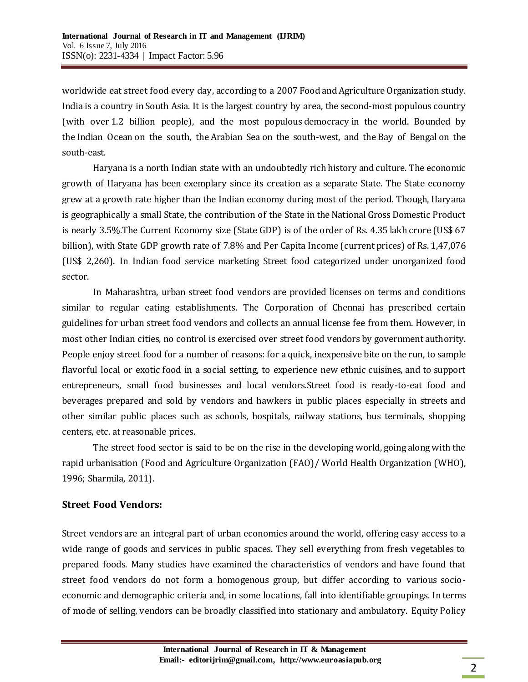worldwide eat street food every day, according to a 2007 Food and Agriculture Organization study. India is a country in [South Asia.](https://en.wikipedia.org/wiki/South_Asia) It is the largest country by area, the [second-most populous](https://en.wikipedia.org/wiki/List_of_countries_by_population) country (with over [1.2 billion people\)](https://en.wikipedia.org/wiki/Demographics_of_India), and the most populous [democracy](https://en.wikipedia.org/wiki/Democracy) in the world. Bounded by the [Indian Ocean](https://en.wikipedia.org/wiki/Indian_Ocean) on the south, the [Arabian Sea](https://en.wikipedia.org/wiki/Arabian_Sea) on the south-west, and the [Bay of Bengal](https://en.wikipedia.org/wiki/Bay_of_Bengal) on the south-east.

Haryana is a north Indian state with an undoubtedly rich history and culture. The economic growth of Haryana has been exemplary since its creation as a separate State. The State economy grew at a growth rate higher than the Indian economy during most of the period. Though, Haryana is geographically a small State, the contribution of the State in the National Gross Domestic Product is nearly 3.5%.The Current Economy size (State GDP) is of the order of Rs. 4.35 lakh crore (US\$ 67 billion), with State GDP growth rate of 7.8% and Per Capita Income (current prices) of Rs. 1,47,076 (US\$ 2,260). In Indian food service marketing Street food categorized under unorganized food sector.

In Maharashtra, urban street food vendors are provided licenses on terms and conditions similar to regular eating establishments. The Corporation of Chennai has prescribed certain guidelines for urban street food vendors and collects an annual license fee from them. However, in most other Indian cities, no control is exercised over street food vendors by government authority. People enjoy street food for a number of reasons: for a quick, inexpensive bite on the run, to sample flavorful local or exotic food in a social setting, to experience new ethnic cuisines, and to support entrepreneurs, small food businesses and local vendors.Street food is ready-to-eat food and beverages prepared and sold by vendors and hawkers in public places especially in streets and other similar public places such as schools, hospitals, railway stations, bus terminals, shopping centers, etc. at reasonable prices.

The street food sector is said to be on the rise in the developing world, going along with the rapid urbanisation (Food and Agriculture Organization (FAO)/ World Health Organization (WHO), 1996; Sharmila, 2011).

## **Street Food Vendors:**

Street vendors are an integral part of urban economies around the world, offering easy access to a wide range of goods and services in public spaces. They sell everything from fresh vegetables to prepared foods. Many studies have examined the characteristics of vendors and have found that street food vendors do not form a homogenous group, but differ according to various socioeconomic and demographic criteria and, in some locations, fall into identifiable groupings. In terms of mode of selling, vendors can be broadly classified into stationary and ambulatory. Equity Policy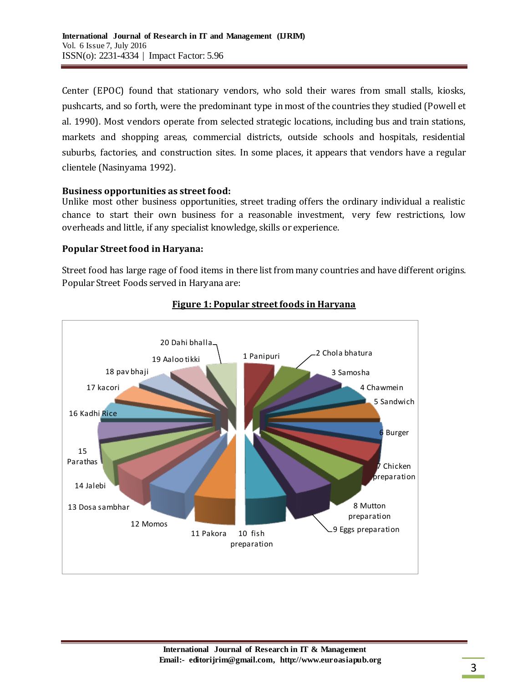Center (EPOC) found that stationary vendors, who sold their wares from small stalls, kiosks, pushcarts, and so forth, were the predominant type in most of the countries they studied (Powell et al. 1990). Most vendors operate from selected strategic locations, including bus and train stations, markets and shopping areas, commercial districts, outside schools and hospitals, residential suburbs, factories, and construction sites. In some places, it appears that vendors have a regular clientele (Nasinyama 1992).

#### **Business opportunities as street food:**

Unlike most other business opportunities, street trading offers the ordinary individual a realistic chance to start their own business for a reasonable investment, very few restrictions, low overheads and little, if any specialist knowledge, skills or experience.

## **Popular Street food in Haryana:**

Street food has large rage of food items in there list from many countries and have different origins. Popular Street Foods served in Haryana are:



## **Figure 1: Popular street foods in Haryana**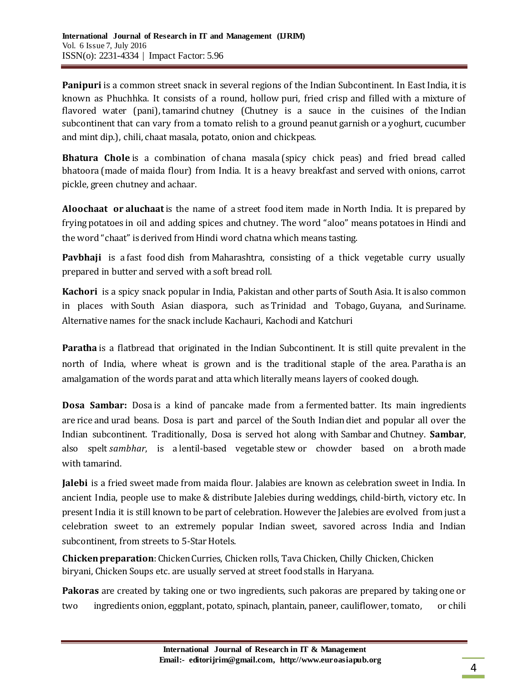Panipuri is a common street snack in several regions of the [Indian Subcontinent](https://en.wikipedia.org/wiki/Indian_Subcontinent). In East India, it is known as Phuchhka. It consists of a round, hollow [puri](https://en.wikipedia.org/wiki/Puri_(food)), fried crisp and filled with a mixture of flavored water (pani), [tamarind](https://en.wikipedia.org/wiki/Tamarind) chutney (Chutney is a sauce in the cuisines of the [Indian](https://en.wikipedia.org/wiki/Indian_subcontinent)  [subcontinent](https://en.wikipedia.org/wiki/Indian_subcontinent) that can vary from a tomato relish to a ground peanut garnish or a yoghurt, cucumber and mint dip.), [chili,](https://en.wikipedia.org/wiki/Chili_powder) [chaat masala,](https://en.wikipedia.org/wiki/Chaat_masala) [potato,](https://en.wikipedia.org/wiki/Potato) onion and chickpeas.

**Bhatura Chole** is a combination of [chana masala](https://en.wikipedia.org/wiki/Chana_masala) (spicy chick peas) and fried bread called [bhatoora](https://en.wikipedia.org/wiki/Bhatoora) (made of [maida flour\)](https://en.wikipedia.org/wiki/Maida_flour) from India. It is a heavy breakfast and served with onions, carrot pickle, green chutney and [achaar.](https://en.wikipedia.org/wiki/Indian_pickle)

**Aloochaat or aluchaat**is the name of a [street food](https://en.wikipedia.org/wiki/Street_food) item made in [North India](https://en.wikipedia.org/wiki/North_India). It is prepared by frying [potatoes](https://en.wikipedia.org/wiki/Potato) in oil and adding spices and [chutney](https://en.wikipedia.org/wiki/Chutney). The word "aloo" means [potatoes](https://en.wikipedia.org/wiki/Potato) in Hindi and the word "[chaat](https://en.wikipedia.org/wiki/Chaat)" is derived from Hindi word chatna which means tasting.

**Pavbhaji** is a [fast food](https://en.wikipedia.org/wiki/Fast_food) dish from [Maharashtra,](https://en.wikipedia.org/wiki/Maharashtra) consisting of a thick vegetable curry usually prepared in butter and served with a soft bread roll.

**Kachori** is a spicy snack popular in India, Pakistan and other parts of South Asia. It is also common in places with [South Asian diaspora,](https://en.wikipedia.org/wiki/South_Asian_diaspora) such as [Trinidad and Tobago,](https://en.wikipedia.org/wiki/Trinidad_and_Tobago) [Guyana,](https://en.wikipedia.org/wiki/Guyana) and [Suriname.](https://en.wikipedia.org/wiki/Suriname) Alternative names for the snack include Kachauri, Kachodi and Katchuri

**Paratha** is a flatbread that originated in the [Indian Subcontinent.](https://en.wikipedia.org/wiki/Indian_Subcontinent) It is still quite prevalent in the north of India, where wheat is grown and is the traditional staple of the area. Paratha is an amalgamation of the words parat and [atta](https://en.wikipedia.org/wiki/Atta_flour) which literally means layers of cooked [dough.](https://en.wikipedia.org/wiki/Dough)

**Dosa Sambar:** Dosa is a kind of pancake made from a [fermented](https://en.wikipedia.org/wiki/Fermentation_(food)) [batter](https://en.wikipedia.org/wiki/Batter_(cooking)). Its main ingredients are [rice](https://en.wikipedia.org/wiki/Rice) and [urad beans.](https://en.wikipedia.org/wiki/Urad_(bean)) Dosa is part and parcel of the [South Indian](https://en.wikipedia.org/wiki/South_India) diet and popular all over the Indian subcontinent. Traditionally, Dosa is served hot along with [Sambar](https://en.wikipedia.org/wiki/Sambar_(dish)) and [Chutney.](https://en.wikipedia.org/wiki/Chutney) **Sambar**, also spelt *sambhar*, is a [lentil-](https://en.wikipedia.org/wiki/Lentil)based vegetable [stew](https://en.wikipedia.org/wiki/Stew) or chowder based on a [broth](https://en.wikipedia.org/wiki/Broth) made with [tamarind.](https://en.wikipedia.org/wiki/Tamarind) 

**Jalebi** is a fried sweet made from maida flour. Jalabies are known as celebration sweet in India. In ancient India, people use to make & distribute Jalebies during weddings, child-birth, victory etc. In present India it is still known to be part of celebration. However the Jalebies are evolved from just a celebration sweet to an extremely popular Indian sweet, savored across India and Indian subcontinent, from streets to 5-Star Hotels.

**Chicken preparation**[: Chicken Curries,](http://simpleindianrecipes.com/Chicken.aspx#ChickenGravy) Chicken rolls, Tava Chicken, Chilly [Chicken,](http://simpleindianrecipes.com/Chicken.aspx#ChickenSide) [Chicken](http://simpleindianrecipes.com/Chicken.aspx#ChickenEntree)  [biryani,](http://simpleindianrecipes.com/Chicken.aspx#ChickenEntree) [Chicken Soups](http://simpleindianrecipes.com/Chicken.aspx#ChickenSoup) etc. are usually served at street food stalls in Haryana.

**Pakoras** are created by taking one or two ingredients, such pakoras are prepared by taking one or two ingredients [onion,](https://en.wikipedia.org/wiki/Onion) [eggplant,](https://en.wikipedia.org/wiki/Eggplant) [potato,](https://en.wikipedia.org/wiki/Potato) [spinach,](https://en.wikipedia.org/wiki/Spinach) [plantain,](https://en.wikipedia.org/wiki/Plantain_(cooking)) [paneer,](https://en.wikipedia.org/wiki/Paneer) [cauliflower,](https://en.wikipedia.org/wiki/Cauliflower) [tomato,](https://en.wikipedia.org/wiki/Tomato) or chili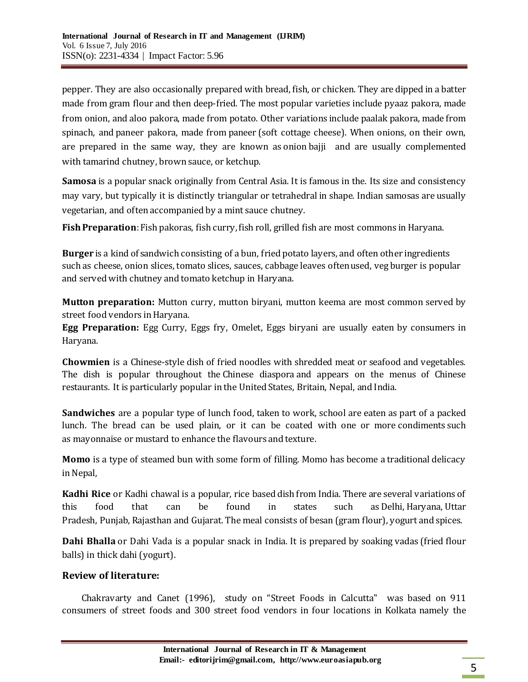[pepper.](https://en.wikipedia.org/wiki/Chili_pepper) They are also occasionally prepared with [bread,](https://en.wikipedia.org/wiki/Bread) [fish,](https://en.wikipedia.org/wiki/Fish_as_food) or [chicken](https://en.wikipedia.org/wiki/Chicken_(food)). They are dipped in a batter made from [gram flour](https://en.wikipedia.org/wiki/Gram_flour) and then deep-fried. The most popular varieties include pyaaz pakora, made from onion, and aloo pakora, made from potato. Other variations include paalak pakora, made from spinach, and paneer pakora, made from [paneer](https://en.wikipedia.org/wiki/Paneer) (soft cottage cheese). When onions, on their own, are prepared in the same way, they are known as onion [bajji](https://en.wikipedia.org/wiki/Bajji) and are usually complemented with [tamarind](https://en.wikipedia.org/wiki/Tamarind) [chutney,](https://en.wikipedia.org/wiki/Chutney) [brown sauce,](https://en.wikipedia.org/wiki/Brown_sauce) or [ketchup.](https://en.wikipedia.org/wiki/Ketchup)

**Samosa** is a popular snack originally from Central Asia. It is famous in the. Its size and consistency may vary, but typically it is distinctly triangular or [tetrahedral](https://en.wikipedia.org/wiki/Tetrahedron) in shape. Indian samosas are usually vegetarian, and often accompanied by a [mint sauce](https://en.wikipedia.org/wiki/Mint_sauce) [chutney.](https://en.wikipedia.org/wiki/Chutney)

**Fish Preparation**: Fish pakoras, fish curry, fish roll, grilled fish are most commons in Haryana.

**Burger** is a kind of sandwich consisting of a bun, fried potato layers, and often other ingredients such as cheese, onion slices, tomato slices, sauces, cabbage leaves often used, veg burger is popular and served with chutney and tomato ketchup in Haryana.

**Mutton preparation:** Mutton curry, mutton biryani, mutton keema are most common served by street food vendors in Haryana.

**Egg Preparation:** Egg Curry, Eggs fry, Omelet, Eggs biryani are usually eaten by consumers in Haryana.

**Chowmien** is a Chinese-style dish of fried noodles with shredded meat or seafood and vegetables. The dish is popular throughout the [Chinese diaspora](https://en.wikipedia.org/wiki/Chinese_diaspora) and appears on the menus of Chinese restaurants. It is particularly popular in the United States, Britain, Nepal, and India.

**Sandwiches** are a popular type of lunch food, taken to work, school are eaten as part of a [packed](https://en.wikipedia.org/wiki/Packed_lunch)  [lunch.](https://en.wikipedia.org/wiki/Packed_lunch) The bread can be used plain, or it can be coated with one or more [condiments](https://en.wikipedia.org/wiki/Condiment) such as [mayonnaise](https://en.wikipedia.org/wiki/Mayonnaise) or [mustard](https://en.wikipedia.org/wiki/Mustard_(condiment)) to enhance the flavours and texture.

**Momo** is a type of steamed bun with some form of filling. Momo has become a traditional delicacy in Nepal,

**Kadhi Rice** or Kadhi chawal is a popular, rice based dish from India. There are several variations of this food that can be found in states such as [Delhi,](https://en.wikipedia.org/wiki/Delhi) [Haryana,](https://en.wikipedia.org/wiki/Haryana) [Uttar](https://en.wikipedia.org/wiki/Uttar_Pradesh)  [Pradesh,](https://en.wikipedia.org/wiki/Uttar_Pradesh) [Punjab,](https://en.wikipedia.org/wiki/Punjab,_India) [Rajasthan](https://en.wikipedia.org/wiki/Rajasthan) and [Gujarat.](https://en.wikipedia.org/wiki/Gujarat) The meal consists of besan (gram flour), yogurt and spices.

**Dahi Bhalla** or Dahi Vada is a popular snack in India. It is prepared by soaking [vadas](https://en.wikipedia.org/wiki/Vada_(food)) (fried flour balls) in thick [dahi](https://en.wikipedia.org/wiki/Yogurt)(yogurt).

## **Review of literature:**

Chakravarty and Canet (1996), study on "Street Foods in Calcutta" was based on 911 consumers of street foods and 300 street food vendors in four locations in Kolkata namely the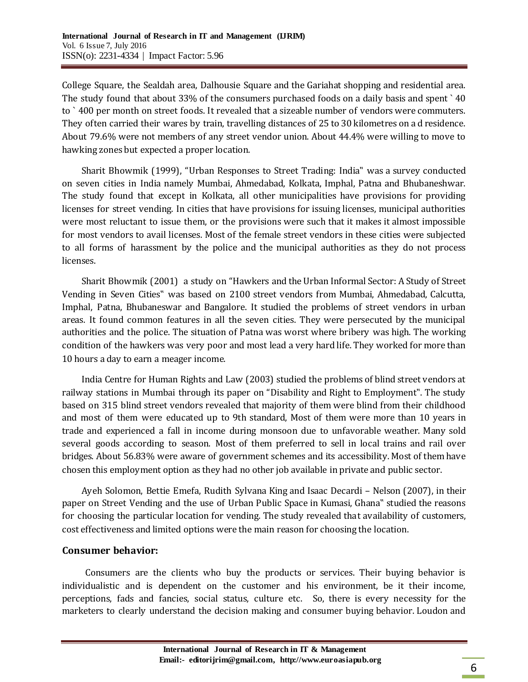College Square, the Sealdah area, Dalhousie Square and the Gariahat shopping and residential area. The study found that about 33% of the consumers purchased foods on a daily basis and spent ` 40 to ` 400 per month on street foods. It revealed that a sizeable number of vendors were commuters. They often carried their wares by train, travelling distances of 25 to 30 kilometres on a d residence. About 79.6% were not members of any street vendor union. About 44.4% were willing to move to hawking zones but expected a proper location.

Sharit Bhowmik (1999), "Urban Responses to Street Trading: India" was a survey conducted on seven cities in India namely Mumbai, Ahmedabad, Kolkata, Imphal, Patna and Bhubaneshwar. The study found that except in Kolkata, all other municipalities have provisions for providing licenses for street vending. In cities that have provisions for issuing licenses, municipal authorities were most reluctant to issue them, or the provisions were such that it makes it almost impossible for most vendors to avail licenses. Most of the female street vendors in these cities were subjected to all forms of harassment by the police and the municipal authorities as they do not process licenses.

Sharit Bhowmik (2001) a study on "Hawkers and the Urban Informal Sector: A Study of Street Vending in Seven Cities" was based on 2100 street vendors from Mumbai, Ahmedabad, Calcutta, Imphal, Patna, Bhubaneswar and Bangalore. It studied the problems of street vendors in urban areas. It found common features in all the seven cities. They were persecuted by the municipal authorities and the police. The situation of Patna was worst where bribery was high. The working condition of the hawkers was very poor and most lead a very hard life. They worked for more than 10 hours a day to earn a meager income.

India Centre for Human Rights and Law (2003) studied the problems of blind street vendors at railway stations in Mumbai through its paper on "Disability and Right to Employment". The study based on 315 blind street vendors revealed that majority of them were blind from their childhood and most of them were educated up to 9th standard, Most of them were more than 10 years in trade and experienced a fall in income during monsoon due to unfavorable weather. Many sold several goods according to season. Most of them preferred to sell in local trains and rail over bridges. About 56.83% were aware of government schemes and its accessibility. Most of them have chosen this employment option as they had no other job available in private and public sector.

Ayeh Solomon, Bettie Emefa, Rudith Sylvana King and Isaac Decardi – Nelson (2007), in their paper on Street Vending and the use of Urban Public Space in Kumasi, Ghana" studied the reasons for choosing the particular location for vending. The study revealed that availability of customers, cost effectiveness and limited options were the main reason for choosing the location.

#### **Consumer behavior:**

Consumers are the clients who buy the products or services. Their buying behavior is individualistic and is dependent on the customer and his environment, be it their income, perceptions, fads and fancies, social status, culture etc. So, there is every necessity for the marketers to clearly understand the decision making and consumer buying behavior. Loudon and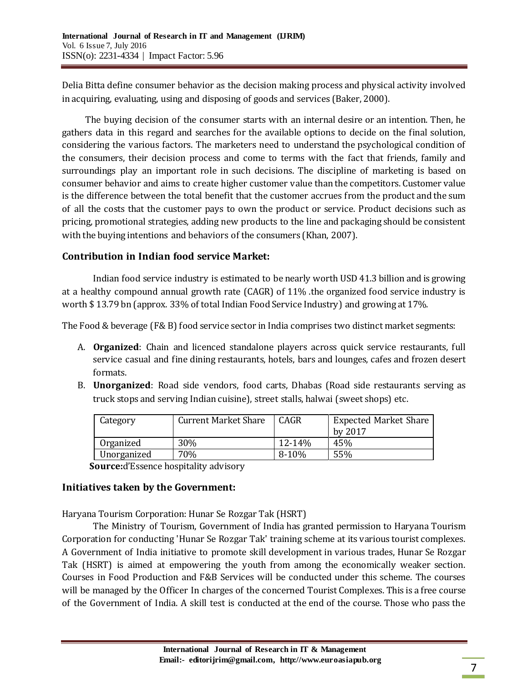Delia Bitta define consumer behavior as the decision making process and physical activity involved in acquiring, evaluating, using and disposing of goods and services (Baker, 2000).

The buying decision of the consumer starts with an internal desire or an intention. Then, he gathers data in this regard and searches for the available options to decide on the final solution, considering the various factors. The marketers need to understand the psychological condition of the consumers, their decision process and come to terms with the fact that friends, family and surroundings play an important role in such decisions. The discipline of marketing is based on consumer behavior and aims to create higher customer value than the competitors. Customer value is the difference between the total benefit that the customer accrues from the product and the sum of all the costs that the customer pays to own the product or service. Product decisions such as pricing, promotional strategies, adding new products to the line and packaging should be consistent with the buying intentions and behaviors of the consumers (Khan, 2007).

## **Contribution in Indian food service Market:**

Indian food service industry is estimated to be nearly worth USD 41.3 billion and is growing at a healthy compound annual growth rate (CAGR) of 11% .the organized food service industry is worth \$ 13.79 bn (approx. 33% of total Indian Food Service Industry) and growing at 17%.

The Food & beverage (F& B) food service sector in India comprises two distinct market segments:

- A. **Organized**: Chain and licenced standalone players across quick service restaurants, full service casual and fine dining restaurants, hotels, bars and lounges, cafes and frozen desert formats.
- B. **Unorganized**: Road side vendors, food carts, Dhabas (Road side restaurants serving as truck stops and serving Indian cuisine), street stalls, halwai (sweet shops) etc.

| Category    | <b>Current Market Share</b> | CAGR      | <b>Expected Market Share</b> |
|-------------|-----------------------------|-----------|------------------------------|
|             |                             |           | by 2017                      |
| Organized   | 30%                         | 12-14%    | 45%                          |
| Unorganized | 70%                         | $8 - 10%$ | 55%                          |

 **Source:**d'Essence hospitality advisory

## **Initiatives taken by the Government:**

Haryana Tourism Corporation: Hunar Se Rozgar Tak (HSRT)

The Ministry of Tourism, Government of India has granted permission to Haryana Tourism Corporation for conducting 'Hunar Se Rozgar Tak' training scheme at its various tourist complexes. A Government of India initiative to promote skill development in various trades, Hunar Se Rozgar Tak (HSRT) is aimed at empowering the youth from among the economically weaker section. Courses in Food Production and F&B Services will be conducted under this scheme. The courses will be managed by the Officer In charges of the concerned Tourist Complexes. This is a free course of the Government of India. A skill test is conducted at the end of the course. Those who pass the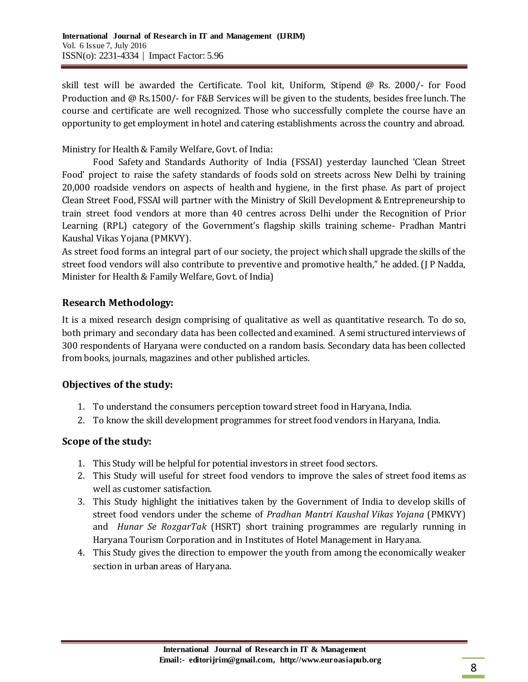skill test will be awarded the Certificate. Tool kit, Uniform, Stipend @ Rs. 2000/- for Food Production and @ Rs.1500/- for F&B Services will be given to the students, besides free lunch. The course and certificate are well recognized. Those who successfully complete the course have an opportunity to get employment in hotel and catering establishments across the country and abroad.

Ministry for Health & Family Welfare, Govt. of India:

[Food Safety](http://www.business-standard.com/search?type=news&q=Food+Safety) and Standards Authority of India (FSSAI) yesterday launched 'Clean Street Food' project to raise the safety standards of foods sold on streets across New Delhi by training 20,000 roadside vendors on aspects of [health](http://www.business-standard.com/search?type=news&q=Health) and hygiene, in the first phase. As part of project Clean Street Food, [FSSAI](http://www.business-standard.com/search?type=news&q=Fssai) will partner with the Ministry of Skill Development & Entrepreneurship to train street food vendors at more than 40 centres across Delhi under the Recognition of Prior Learning (RPL) category of the Government's flagship skills training scheme- Pradhan Mantri Kaushal Vikas Yojana (PMKVY).

As street food forms an integral part of our society, the project which shall upgrade the skills of the street food vendors will also contribute to preventive and promotive health," he added. (J P Nadda, Minister for Health & Family Welfare, Govt. of India)

## **Research Methodology:**

It is a mixed research design comprising of qualitative as well as quantitative research. To do so, both primary and secondary data has been collected and examined. A semi structured interviews of 300 respondents of Haryana were conducted on a random basis. Secondary data has been collected from books, journals, magazines and other published articles.

## **Objectives of the study:**

- 1. To understand the consumers perception toward street food in Haryana, India.
- 2. To know the skill development programmes for street food vendors in Haryana, India.

## **Scope of the study:**

- 1. This Study will be helpful for potential investors in street food sectors.
- 2. This Study will useful for street food vendors to improve the sales of street food items as well as customer satisfaction.
- 3. This Study highlight the initiatives taken by the Government of India to develop skills of street food vendors under the scheme of *Pradhan Mantri Kaushal Vikas Yojana* (PMKVY) and *Hunar Se RozgarTak* (HSRT) short training programmes are regularly running in Haryana Tourism Corporation and in Institutes of Hotel Management in Haryana.
- 4. This Study gives the direction to empower the youth from among the economically weaker section in urban areas of Haryana.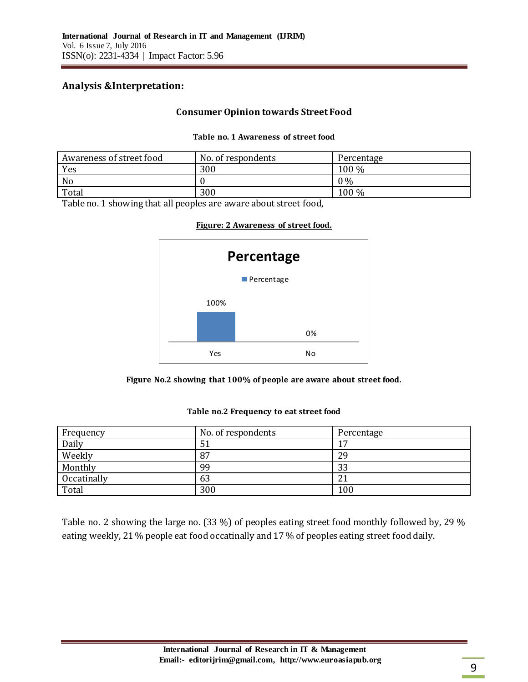#### **Analysis &Interpretation:**

#### **Consumer Opinion towards Street Food**

#### **Table no. 1 Awareness of street food**

| Awareness of street food | No. of respondents | Percentage |
|--------------------------|--------------------|------------|
| Yes                      | 300                | 100 %      |
| N <sub>o</sub>           |                    | $0\%$      |
| Total                    | 300                | 100 %      |

Table no. 1 showing that all peoples are aware about street food,

#### **Figure: 2 Awareness of street food.**



**Figure No.2 showing that 100% of people are aware about street food.**

| Frequency   | No. of respondents | Percentage |
|-------------|--------------------|------------|
| Daily       | 51                 | ר ו        |
| Weekly      | 87                 | 29         |
| Monthly     | 99                 | 33         |
| Occatinally | 63                 | 21         |
| Total       | 300                | 100        |

#### **Table no.2 Frequency to eat street food**

Table no. 2 showing the large no. (33 %) of peoples eating street food monthly followed by, 29 % eating weekly, 21 % people eat food occatinally and 17 % of peoples eating street food daily.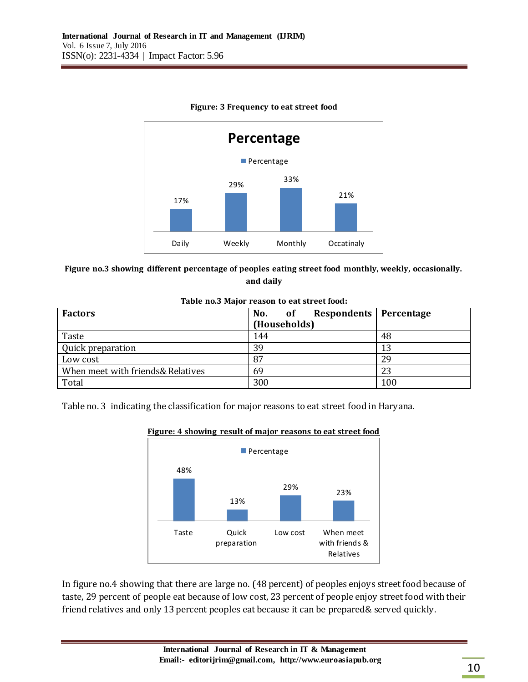

#### **Figure: 3 Frequency to eat street food**

#### **Figure no.3 showing different percentage of peoples eating street food monthly, weekly, occasionally. and daily**

| Tuble hold major reason to eat street look. |                            |            |  |  |  |
|---------------------------------------------|----------------------------|------------|--|--|--|
| <b>Factors</b>                              | Respondents  <br>No.<br>0f | Percentage |  |  |  |
|                                             | (Households)               |            |  |  |  |
| Taste                                       | 144                        | 48         |  |  |  |
| Quick preparation                           | 39                         | 13         |  |  |  |
| Low cost                                    | 87                         | 29         |  |  |  |
| When meet with friends& Relatives           | 69                         | 23         |  |  |  |
| Total                                       | 300                        | 100        |  |  |  |

#### **Table no.3 Major reason to eat street food:**

Table no. 3 indicating the classification for major reasons to eat street food in Haryana.



#### **Figure: 4 showing result of major reasons to eat street food**

In figure no.4 showing that there are large no. (48 percent) of peoples enjoys street food because of taste, 29 percent of people eat because of low cost, 23 percent of people enjoy street food with their friend relatives and only 13 percent peoples eat because it can be prepared& served quickly.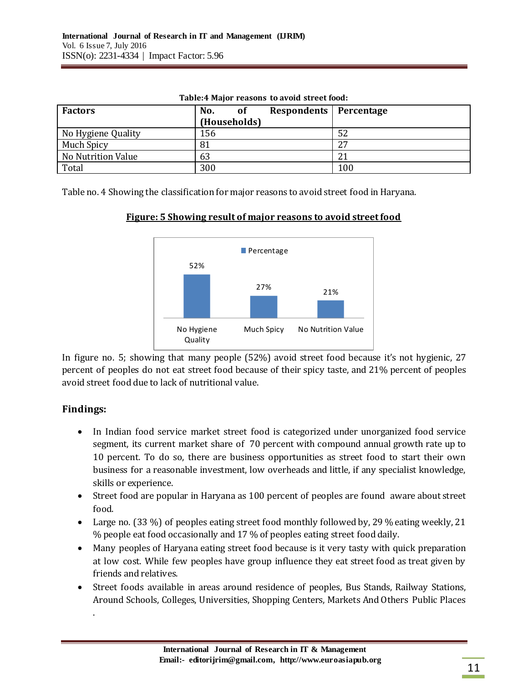| <b>Factors</b>     | No.<br><b>of</b> | Respondents   Percentage |     |
|--------------------|------------------|--------------------------|-----|
|                    | (Households)     |                          |     |
| No Hygiene Quality | 156              |                          | 52  |
| Much Spicy         | 81               |                          | 27  |
| No Nutrition Value | 63               |                          | 21  |
| Total              | 300              |                          | 100 |

**Table:4 Major reasons to avoid street food:**

Table no. 4 Showing the classification for major reasons to avoid street food in Haryana.



**Figure: 5 Showing result of major reasons to avoid street food**

In figure no. 5; showing that many people (52%) avoid street food because it's not hygienic, 27 percent of peoples do not eat street food because of their spicy taste, and 21% percent of peoples avoid street food due to lack of nutritional value.

# **Findings:**

.

- In Indian food service market street food is categorized under unorganized food service segment, its current market share of 70 percent with compound annual growth rate up to 10 percent. To do so, there are business opportunities as street food to start their own business for a reasonable investment, low overheads and little, if any specialist knowledge, skills or experience.
- Street food are popular in Haryana as 100 percent of peoples are found aware about street food.
- Large no. (33 %) of peoples eating street food monthly followed by, 29 % eating weekly, 21 % people eat food occasionally and 17 % of peoples eating street food daily.
- Many peoples of Haryana eating street food because is it very tasty with quick preparation at low cost. While few peoples have group influence they eat street food as treat given by friends and relatives.
- Street foods available in areas around residence of peoples, Bus Stands, Railway Stations, Around Schools, Colleges, Universities, Shopping Centers, Markets And Others Public Places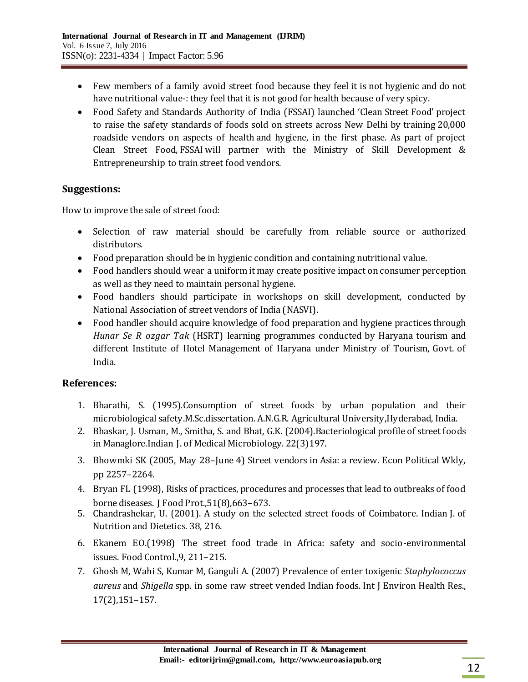- Few members of a family avoid street food because they feel it is not hygienic and do not have nutritional value-: they feel that it is not good for health because of very spicy.
- [Food Safety](http://www.business-standard.com/search?type=news&q=Food+Safety) and Standards Authority of India (FSSAI) launched 'Clean Street Food' project to raise the safety standards of foods sold on streets across New Delhi by training 20,000 roadside vendors on aspects of [health](http://www.business-standard.com/search?type=news&q=Health) and hygiene, in the first phase. As part of project Clean Street Food, [FSSAI](http://www.business-standard.com/search?type=news&q=Fssai) will partner with the Ministry of Skill Development & Entrepreneurship to train street food vendors.

## **Suggestions:**

How to improve the sale of street food:

- Selection of raw material should be carefully from reliable source or authorized distributors.
- Food preparation should be in hygienic condition and containing nutritional value.
- Food handlers should wear a uniform it may create positive impact on consumer perception as well as they need to maintain personal hygiene.
- Food handlers should participate in workshops on skill development, conducted by National Association of street vendors of India (NASVI).
- Food handler should acquire knowledge of food preparation and hygiene practices through *Hunar Se R ozgar Tak* (HSRT) learning programmes conducted by Haryana tourism and different Institute of Hotel Management of Haryana under Ministry of Tourism, Govt. of India.

## **References:**

- 1. Bharathi, S. (1995).Consumption of street foods by urban population and their microbiological safety.M.Sc.dissertation. A.N.G.R. Agricultural University,Hyderabad, India.
- 2. Bhaskar, J. Usman, M., Smitha, S. and Bhat, G.K. (2004).Bacteriological profile of street foods in Managlore.Indian J. of Medical Microbiology. 22(3)197.
- 3. Bhowmki SK (2005, May 28–June 4) Street vendors in Asia: a review. Econ Political Wkly, pp 2257–2264.
- 4. Bryan FL (1998), Risks of practices, procedures and processes that lead to outbreaks of food borne diseases. J Food Prot.,51(8),663–673.
- 5. Chandrashekar, U. (2001). A study on the selected street foods of Coimbatore. Indian J. of Nutrition and Dietetics. 38, 216.
- 6. Ekanem EO.(1998) The street food trade in Africa: safety and socio-environmental issues. Food Control.,9, 211–215.
- 7. Ghosh M, Wahi S, Kumar M, Ganguli A. (2007) Prevalence of enter toxigenic *Staphylococcus aureus* and *Shigella* spp. in some raw street vended Indian foods. Int J Environ Health Res., 17(2),151–157.